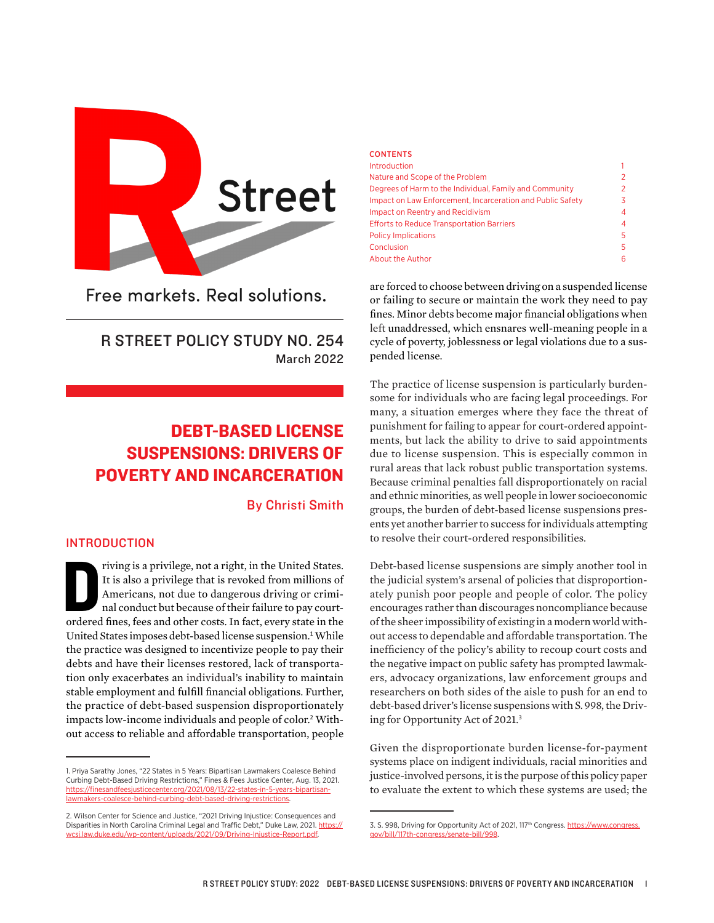

Free markets, Real solutions.

## R STREET POLICY STUDY NO. 254 March 2022

# DEBT-BASED LICENSE SUSPENSIONS: DRIVERS OF POVERTY AND INCARCERATION

By Christi Smith

#### INTRODUCTION

riving is a privilege, not a right, in the United States.<br>It is also a privilege that is revoked from millions of<br>Americans, not due to dangerous driving or crimi-<br>nal conduct but because of their failure to pay court-<br>ord riving is a privilege, not a right, in the United States. It is also a privilege that is revoked from millions of Americans, not due to dangerous driving or criminal conduct but because of their failure to pay court-United States imposes debt-based license suspension.<sup>1</sup> While the practice was designed to incentivize people to pay their debts and have their licenses restored, lack of transportation only exacerbates an individual's inability to maintain stable employment and fulfill financial obligations. Further, the practice of debt-based suspension disproportionately impacts low-income individuals and people of color.<sup>2</sup> Without access to reliable and affordable transportation, people

| <b>CONTENTS</b>                                            |   |
|------------------------------------------------------------|---|
| <b>Introduction</b>                                        | 1 |
| Nature and Scope of the Problem                            | 2 |
| Degrees of Harm to the Individual, Family and Community    | 2 |
| Impact on Law Enforcement, Incarceration and Public Safety | 3 |
| Impact on Reentry and Recidivism                           | 4 |
| <b>Efforts to Reduce Transportation Barriers</b>           | 4 |
| <b>Policy Implications</b>                                 | 5 |
| Conclusion                                                 | 5 |
| About the Author                                           | 6 |

are forced to choose between driving on a suspended license or failing to secure or maintain the work they need to pay fines. Minor debts become major financial obligations when left unaddressed, which ensnares well-meaning people in a cycle of poverty, joblessness or legal violations due to a suspended license.

The practice of license suspension is particularly burdensome for individuals who are facing legal proceedings. For many, a situation emerges where they face the threat of punishment for failing to appear for court-ordered appointments, but lack the ability to drive to said appointments due to license suspension. This is especially common in rural areas that lack robust public transportation systems. Because criminal penalties fall disproportionately on racial and ethnic minorities, as well people in lower socioeconomic groups, the burden of debt-based license suspensions presents yet another barrier to success for individuals attempting to resolve their court-ordered responsibilities.

Debt-based license suspensions are simply another tool in the judicial system's arsenal of policies that disproportionately punish poor people and people of color. The policy encourages rather than discourages noncompliance because of the sheer impossibility of existing in a modern world without access to dependable and affordable transportation. The inefficiency of the policy's ability to recoup court costs and the negative impact on public safety has prompted lawmakers, advocacy organizations, law enforcement groups and researchers on both sides of the aisle to push for an end to debt-based driver's license suspensions with S. 998, the Driving for Opportunity Act of 2021.<sup>3</sup>

Given the disproportionate burden license-for-payment systems place on indigent individuals, racial minorities and justice-involved persons, it is the purpose of this policy paper to evaluate the extent to which these systems are used; the

<sup>1.</sup> Priya Sarathy Jones, "22 States in 5 Years: Bipartisan Lawmakers Coalesce Behind Curbing Debt-Based Driving Restrictions," Fines & Fees Justice Center, Aug. 13, 2021. [https://finesandfeesjusticecenter.org/2021/08/13/22-states-in-5-years-bipartisan](https://finesandfeesjusticecenter.org/2021/08/13/22-states-in-5-years-bipartisan-lawmakers-coalesce-behind-curbing-debt-based-driving-restrictions/)[lawmakers-coalesce-behind-curbing-debt-based-driving-restrictions.](https://finesandfeesjusticecenter.org/2021/08/13/22-states-in-5-years-bipartisan-lawmakers-coalesce-behind-curbing-debt-based-driving-restrictions/)

<sup>2.</sup> Wilson Center for Science and Justice, "2021 Driving Injustice: Consequences and Disparities in North Carolina Criminal Legal and Traffic Debt," Duke Law, 2021. [https://](https://wcsj.law.duke.edu/wp-content/uploads/2021/09/Driving-Injustice-Report.pdf) [wcsj.law.duke.edu/wp-content/uploads/2021/09/Driving-Injustice-Report.pdf](https://wcsj.law.duke.edu/wp-content/uploads/2021/09/Driving-Injustice-Report.pdf).

<sup>3.</sup> S. 998, Driving for Opportunity Act of 2021, 117<sup>th</sup> Congress. [https://www.congress.](https://www.congress.gov/bill/117th-congress/senate-bill/998) [gov/bill/117th-congress/senate-bill/998.](https://www.congress.gov/bill/117th-congress/senate-bill/998)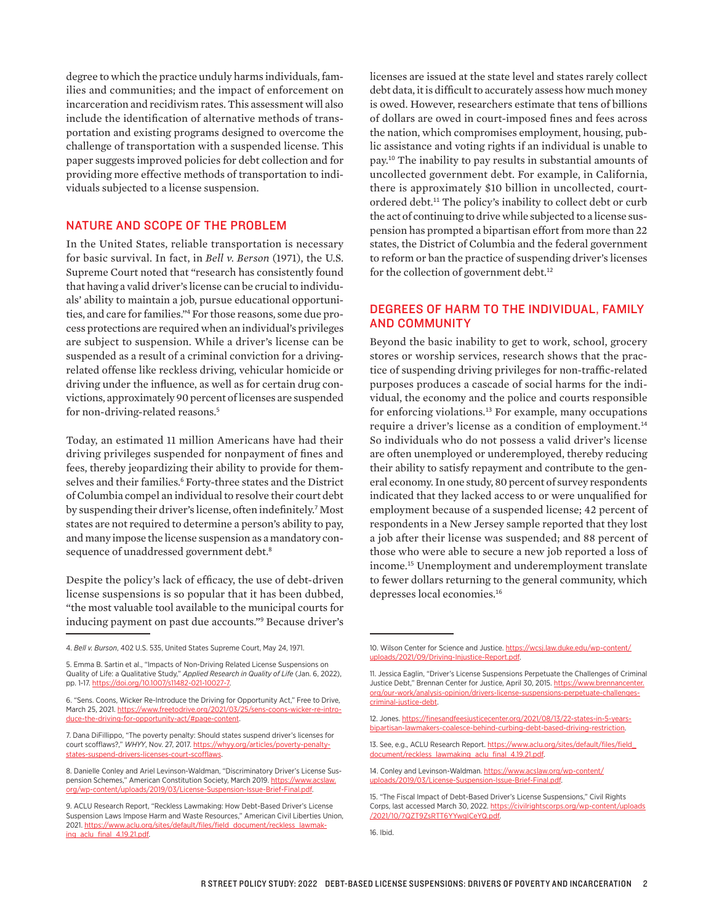degree to which the practice unduly harms individuals, families and communities; and the impact of enforcement on incarceration and recidivism rates. This assessment will also include the identification of alternative methods of transportation and existing programs designed to overcome the challenge of transportation with a suspended license. This paper suggests improved policies for debt collection and for providing more effective methods of transportation to individuals subjected to a license suspension.

#### NATURE AND SCOPE OF THE PROBLEM

In the United States, reliable transportation is necessary for basic survival. In fact, in *Bell v. Berson* (1971), the U.S. Supreme Court noted that "research has consistently found that having a valid driver's license can be crucial to individuals' ability to maintain a job, pursue educational opportunities, and care for families."<sup>4</sup> For those reasons, some due process protections are required when an individual's privileges are subject to suspension. While a driver's license can be suspended as a result of a criminal conviction for a drivingrelated offense like reckless driving, vehicular homicide or driving under the influence, as well as for certain drug convictions, approximately 90 percent of licenses are suspended for non-driving-related reasons.<sup>5</sup>

Today, an estimated 11 million Americans have had their driving privileges suspended for nonpayment of fines and fees, thereby jeopardizing their ability to provide for themselves and their families.<sup>6</sup> Forty-three states and the District of Columbia compel an individual to resolve their court debt by suspending their driver's license, often indefinitely.<sup>7</sup> Most states are not required to determine a person's ability to pay, and many impose the license suspension as a mandatory consequence of unaddressed government debt.<sup>8</sup>

Despite the policy's lack of efficacy, the use of debt-driven license suspensions is so popular that it has been dubbed, "the most valuable tool available to the municipal courts for inducing payment on past due accounts."<sup>9</sup> Because driver's

5. Emma B. Sartin et al., "Impacts of Non-Driving Related License Suspensions on Quality of Life: a Qualitative Study," *Applied Research in Quality of Life* (Jan. 6, 2022), pp. 1-17. [https://doi.org/10.1007/s11482-021-10027-7.](https://doi.org/10.1007/s11482-021-10027-7)

6. "Sens. Coons, Wicker Re-Introduce the Driving for Opportunity Act," Free to Drive, March 25, 2021. https://www.freetodrive.org/2021/03/25/sens-coons-wicker-re-introduce-the-driving-for-opportunity-act/#page-content.

7. Dana DiFillippo, "The poverty penalty: Should states suspend driver's licenses for court scofflaws?," *WHYY*, Nov. 27, 2017. [https://whyy.org/articles/poverty-penalty](https://whyy.org/articles/poverty-penalty-states-suspend-drivers-licenses-court-scofflaws)[states-suspend-drivers-licenses-court-scofflaws.](https://whyy.org/articles/poverty-penalty-states-suspend-drivers-licenses-court-scofflaws)

8. Danielle Conley and Ariel Levinson-Waldman, "Discriminatory Driver's License Suspension Schemes," American Constitution Society, March 2019. [https://www.acslaw.](https://www.acslaw.org/wp-content/uploads/2019/03/License-Suspension-Issue-Brief-Final.pdf) [org/wp-content/uploads/2019/03/License-Suspension-Issue-Brief-Final.pdf.](https://www.acslaw.org/wp-content/uploads/2019/03/License-Suspension-Issue-Brief-Final.pdf)

licenses are issued at the state level and states rarely collect debt data, it is difficult to accurately assess how much money is owed. However, researchers estimate that tens of billions of dollars are owed in court-imposed fines and fees across the nation, which compromises employment, housing, public assistance and voting rights if an individual is unable to pay.<sup>10</sup> The inability to pay results in substantial amounts of uncollected government debt. For example, in California, there is approximately \$10 billion in uncollected, courtordered debt.<sup>11</sup> The policy's inability to collect debt or curb the act of continuing to drive while subjected to a license suspension has prompted a bipartisan effort from more than 22 states, the District of Columbia and the federal government to reform or ban the practice of suspending driver's licenses for the collection of government debt.<sup>12</sup>

### DEGREES OF HARM TO THE INDIVIDUAL, FAMILY AND COMMUNITY

Beyond the basic inability to get to work, school, grocery stores or worship services, research shows that the practice of suspending driving privileges for non-traffic-related purposes produces a cascade of social harms for the individual, the economy and the police and courts responsible for enforcing violations.<sup>13</sup> For example, many occupations require a driver's license as a condition of employment.<sup>14</sup> So individuals who do not possess a valid driver's license are often unemployed or underemployed, thereby reducing their ability to satisfy repayment and contribute to the general economy. In one study, 80 percent of survey respondents indicated that they lacked access to or were unqualified for employment because of a suspended license; 42 percent of respondents in a New Jersey sample reported that they lost a job after their license was suspended; and 88 percent of those who were able to secure a new job reported a loss of income.<sup>15</sup> Unemployment and underemployment translate to fewer dollars returning to the general community, which depresses local economies.<sup>16</sup>

<sup>4.</sup> *Bell v. Burson*, 402 U.S. 535, United States Supreme Court, May 24, 1971.

<sup>9.</sup> ACLU Research Report, "Reckless Lawmaking: How Debt-Based Driver's License Suspension Laws Impose Harm and Waste Resources," American Civil Liberties Union, 2021. [https://www.aclu.org/sites/default/files/field\\_document/reckless\\_lawmak](https://www.aclu.org/sites/default/files/field_document/reckless_lawmaking_aclu_final_4.19.21.pdf)[ing\\_aclu\\_final\\_4.19.21.pdf.](https://www.aclu.org/sites/default/files/field_document/reckless_lawmaking_aclu_final_4.19.21.pdf)

<sup>10.</sup> Wilson Center for Science and Justice. [https://wcsj.law.duke.edu/wp-content/](https://wcsj.law.duke.edu/wp-content/uploads/2021/09/Driving-Injustice-Report.pdf) [uploads/2021/09/Driving-Injustice-Report.pdf.](https://wcsj.law.duke.edu/wp-content/uploads/2021/09/Driving-Injustice-Report.pdf)

<sup>11.</sup> Jessica Eaglin, "Driver's License Suspensions Perpetuate the Challenges of Criminal Justice Debt," Brennan Center for Justice, April 30, 2015. [https://www.brennancenter.](https://www.brennancenter.org/our-work/analysis-opinion/drivers-license-suspensions-perpetuate-challenges-criminal-justice-debt) [org/our-work/analysis-opinion/drivers-license-suspensions-perpetuate-challenges](https://www.brennancenter.org/our-work/analysis-opinion/drivers-license-suspensions-perpetuate-challenges-criminal-justice-debt)[criminal-justice-debt.](https://www.brennancenter.org/our-work/analysis-opinion/drivers-license-suspensions-perpetuate-challenges-criminal-justice-debt)

<sup>12.</sup> Jones. [https://finesandfeesjusticecenter.org/2021/08/13/22-states-in-5-years](https://finesandfeesjusticecenter.org/2021/08/13/22-states-in-5-years-bipartisan-lawmakers-coalesce-behind-curbing-debt-based-driving-restriction)[bipartisan-lawmakers-coalesce-behind-curbing-debt-based-driving-restriction.](https://finesandfeesjusticecenter.org/2021/08/13/22-states-in-5-years-bipartisan-lawmakers-coalesce-behind-curbing-debt-based-driving-restriction)

<sup>13.</sup> See, e.g., ACLU Research Report. [https://www.aclu.org/sites/default/files/field\\_](https://www.aclu.org/sites/default/files/field_document/reckless_lawmaking_aclu_final_4.19.21.pdf) [document/reckless\\_lawmaking\\_aclu\\_final\\_4.19.21.pdf](https://www.aclu.org/sites/default/files/field_document/reckless_lawmaking_aclu_final_4.19.21.pdf)

<sup>14.</sup> Conley and Levinson-Waldman. [https://www.acslaw.org/wp-content/](https://www.acslaw.org/wp-content/uploads/2019/03/License-Suspension-Issue-Brief-Final.pdf) [uploads/2019/03/License-Suspension-Issue-Brief-Final.pdf](https://www.acslaw.org/wp-content/uploads/2019/03/License-Suspension-Issue-Brief-Final.pdf).

<sup>15. &</sup>quot;The Fiscal Impact of Debt-Based Driver's License Suspensions," Civil Rights Corps, last accessed March 30, 2022. [https://civilrightscorps.org/wp-content/uploads](https://civilrightscorps.org/wp-content/uploads/2021/10/7QZT9ZsRTT6YYwgICeYQ.pdf) [/2021/10/7QZT9ZsRTT6YYwgICeYQ.pdf](https://civilrightscorps.org/wp-content/uploads/2021/10/7QZT9ZsRTT6YYwgICeYQ.pdf).

<sup>16.</sup> Ibid.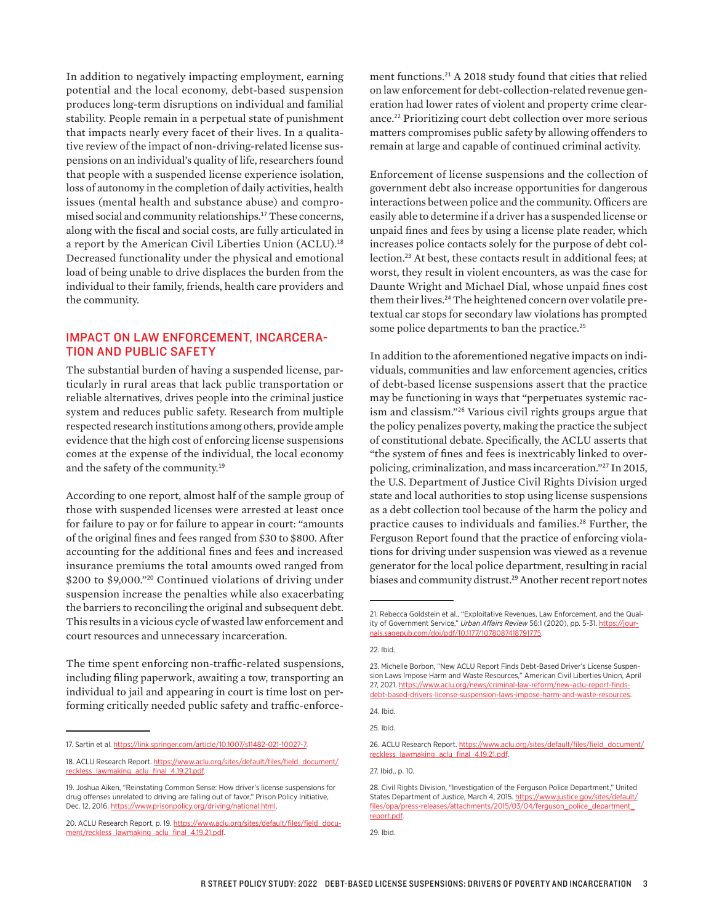In addition to negatively impacting employment, earning potential and the local economy, debt-based suspension produces long-term disruptions on individual and familial stability. People remain in a perpetual state of punishment that impacts nearly every facet of their lives. In a qualitative review of the impact of non-driving-related license suspensions on an individual's quality of life, researchers found that people with a suspended license experience isolation, loss of autonomy in the completion of daily activities, health issues (mental health and substance abuse) and compromised social and community relationships.<sup>17</sup> These concerns, along with the fiscal and social costs, are fully articulated in a report by the American Civil Liberties Union (ACLU).<sup>18</sup> Decreased functionality under the physical and emotional load of being unable to drive displaces the burden from the individual to their family, friends, health care providers and the community.

#### IMPACT ON LAW ENFORCEMENT, INCARCERA-TION AND PUBLIC SAFETY

The substantial burden of having a suspended license, particularly in rural areas that lack public transportation or reliable alternatives, drives people into the criminal justice system and reduces public safety. Research from multiple respected research institutions among others, provide ample evidence that the high cost of enforcing license suspensions comes at the expense of the individual, the local economy and the safety of the community.<sup>19</sup>

According to one report, almost half of the sample group of those with suspended licenses were arrested at least once for failure to pay or for failure to appear in court: "amounts of the original fines and fees ranged from \$30 to \$800. After accounting for the additional fines and fees and increased insurance premiums the total amounts owed ranged from \$200 to \$9,000."<sup>20</sup> Continued violations of driving under suspension increase the penalties while also exacerbating the barriers to reconciling the original and subsequent debt. This results in a vicious cycle of wasted law enforcement and court resources and unnecessary incarceration.

The time spent enforcing non-traffic-related suspensions, including filing paperwork, awaiting a tow, transporting an individual to jail and appearing in court is time lost on performing critically needed public safety and traffic-enforce-

ment functions.<sup>21</sup> A 2018 study found that cities that relied on law enforcement for debt-collection-related revenue generation had lower rates of violent and property crime clearance.<sup>22</sup> Prioritizing court debt collection over more serious matters compromises public safety by allowing offenders to remain at large and capable of continued criminal activity.

Enforcement of license suspensions and the collection of government debt also increase opportunities for dangerous interactions between police and the community. Officers are easily able to determine if a driver has a suspended license or unpaid fines and fees by using a license plate reader, which increases police contacts solely for the purpose of debt collection.<sup>23</sup> At best, these contacts result in additional fees; at worst, they result in violent encounters, as was the case for Daunte Wright and Michael Dial, whose unpaid fines cost them their lives.<sup>24</sup> The heightened concern over volatile pretextual car stops for secondary law violations has prompted some police departments to ban the practice.<sup>25</sup>

In addition to the aforementioned negative impacts on individuals, communities and law enforcement agencies, critics of debt-based license suspensions assert that the practice may be functioning in ways that "perpetuates systemic racism and classism."<sup>26</sup> Various civil rights groups argue that the policy penalizes poverty, making the practice the subject of constitutional debate. Specifically, the ACLU asserts that "the system of fines and fees is inextricably linked to overpolicing, criminalization, and mass incarceration."<sup>27</sup> In 2015, the U.S. Department of Justice Civil Rights Division urged state and local authorities to stop using license suspensions as a debt collection tool because of the harm the policy and practice causes to individuals and families.<sup>28</sup> Further, the Ferguson Report found that the practice of enforcing violations for driving under suspension was viewed as a revenue generator for the local police department, resulting in racial biases and community distrust.<sup>29</sup> Another recent report notes

<sup>17.</sup> Sartin et al. [https://link.springer.com/article/10.1007/s11482-021-10027-7.](https://link.springer.com/article/10.1007/s11482-021-10027-7)

<sup>18.</sup> ACLU Research Report. [https://www.aclu.org/sites/default/files/field\\_document/](https://www.aclu.org/sites/default/files/field_document/reckless_lawmaking_aclu_final_4.19.21.pdf) [reckless\\_lawmaking\\_aclu\\_final\\_4.19.21.pdf.](https://www.aclu.org/sites/default/files/field_document/reckless_lawmaking_aclu_final_4.19.21.pdf)

<sup>19.</sup> Joshua Aiken, "Reinstating Common Sense: How driver's license suspensions for drug offenses unrelated to driving are falling out of favor," Prison Policy Initiative, Dec. 12, 2016. [https://www.prisonpolicy.org/driving/national.html.](https://www.prisonpolicy.org/driving/national.html)

<sup>20.</sup> ACLU Research Report, p. 19. [https://www.aclu.org/sites/default/files/field\\_docu](https://www.aclu.org/sites/default/files/field_document/reckless_lawmaking_aclu_final_4.19.21.pdf)[ment/reckless\\_lawmaking\\_aclu\\_final\\_4.19.21.pdf.](https://www.aclu.org/sites/default/files/field_document/reckless_lawmaking_aclu_final_4.19.21.pdf)

<sup>21.</sup> Rebecca Goldstein et al., "Exploitative Revenues, Law Enforcement, and the Quality of Government Service," Urban Affairs Review 56:1 (2020), pp. 5-31. [https://jour](https://journals.sagepub.com/doi/pdf/10.1177/1078087418791775)[nals.sagepub.com/doi/pdf/10.1177/1078087418791775](https://journals.sagepub.com/doi/pdf/10.1177/1078087418791775).

<sup>22.</sup> Ibid.

<sup>23.</sup> Michelle Borbon, "New ACLU Report Finds Debt-Based Driver's License Suspension Laws Impose Harm and Waste Resources," American Civil Liberties Union, April 27, 2021. [https://www.aclu.org/news/criminal-law-reform/new-aclu-report-finds](https://www.aclu.org/news/criminal-law-reform/new-aclu-report-finds-debt-based-drivers-license-suspension-laws-impose-harm-and-waste-resources)[debt-based-drivers-license-suspension-laws-impose-harm-and-waste-resources](https://www.aclu.org/news/criminal-law-reform/new-aclu-report-finds-debt-based-drivers-license-suspension-laws-impose-harm-and-waste-resources).

<sup>24.</sup> Ibid.

<sup>25.</sup> Ibid.

<sup>26.</sup> ACLU Research Report. [https://www.aclu.org/sites/default/files/field\\_document/](https://www.aclu.org/sites/default/files/field_document/reckless_lawmaking_aclu_final_4.19.21.pdf) [reckless\\_lawmaking\\_aclu\\_final\\_4.19.21.pdf](https://www.aclu.org/sites/default/files/field_document/reckless_lawmaking_aclu_final_4.19.21.pdf).

<sup>27.</sup> Ibid., p. 10.

<sup>28.</sup> Civil Rights Division, "Investigation of the Ferguson Police Department," United States Department of Justice, March 4, 2015. [https://www.justice.gov/sites/default/](https://www.justice.gov/sites/default/files/opa/press-releases/attachments/2015/03/04/ferguson_police_department_report.pdf) [files/opa/press-releases/attachments/2015/03/04/ferguson\\_police\\_department\\_](https://www.justice.gov/sites/default/files/opa/press-releases/attachments/2015/03/04/ferguson_police_department_report.pdf) [report.pdf](https://www.justice.gov/sites/default/files/opa/press-releases/attachments/2015/03/04/ferguson_police_department_report.pdf).

<sup>29.</sup> Ibid.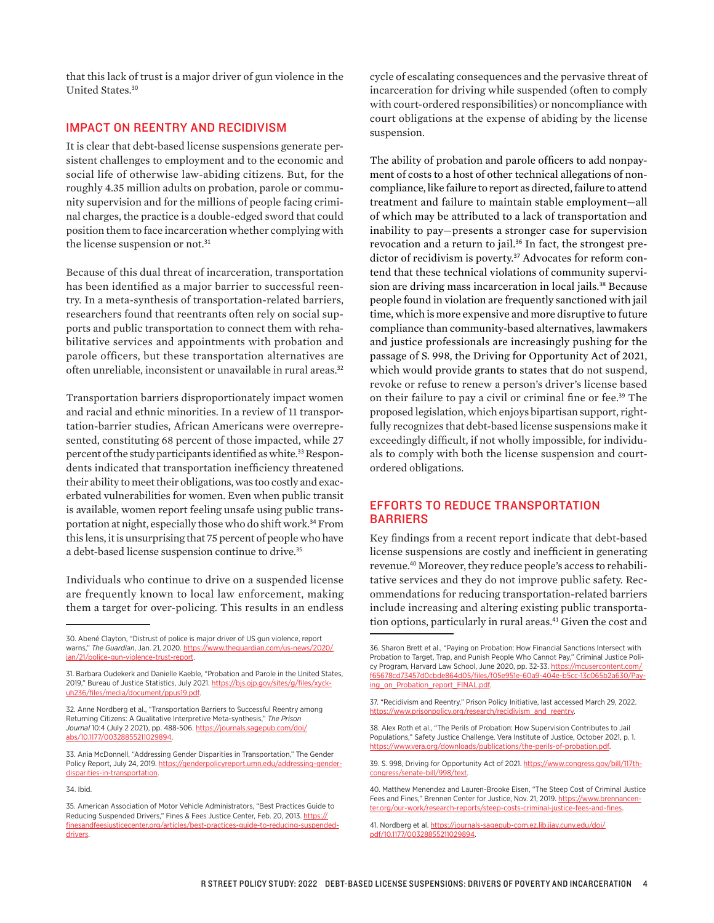that this lack of trust is a major driver of gun violence in the United States.<sup>30</sup>

#### IMPACT ON REENTRY AND RECIDIVISM

It is clear that debt-based license suspensions generate persistent challenges to employment and to the economic and social life of otherwise law-abiding citizens. But, for the roughly 4.35 million adults on probation, parole or community supervision and for the millions of people facing criminal charges, the practice is a double-edged sword that could position them to face incarceration whether complying with the license suspension or not.<sup>31</sup>

Because of this dual threat of incarceration, transportation has been identified as a major barrier to successful reentry. In a meta-synthesis of transportation-related barriers, researchers found that reentrants often rely on social supports and public transportation to connect them with rehabilitative services and appointments with probation and parole officers, but these transportation alternatives are often unreliable, inconsistent or unavailable in rural areas.<sup>32</sup>

Transportation barriers disproportionately impact women and racial and ethnic minorities. In a review of 11 transportation-barrier studies, African Americans were overrepresented, constituting 68 percent of those impacted, while 27 percent of the study participants identified as white.<sup>33</sup> Respondents indicated that transportation inefficiency threatened their ability to meet their obligations, was too costly and exacerbated vulnerabilities for women. Even when public transit is available, women report feeling unsafe using public transportation at night, especially those who do shift work.<sup>34</sup> From this lens, it is unsurprising that 75 percent of people who have a debt-based license suspension continue to drive.<sup>35</sup>

Individuals who continue to drive on a suspended license are frequently known to local law enforcement, making them a target for over-policing. This results in an endless

cycle of escalating consequences and the pervasive threat of incarceration for driving while suspended (often to comply with court-ordered responsibilities) or noncompliance with court obligations at the expense of abiding by the license suspension.

The ability of probation and parole officers to add nonpayment of costs to a host of other technical allegations of noncompliance, like failure to report as directed, failure to attend treatment and failure to maintain stable employment—all of which may be attributed to a lack of transportation and inability to pay—presents a stronger case for supervision revocation and a return to jail.<sup>36</sup> In fact, the strongest predictor of recidivism is poverty.<sup>37</sup> Advocates for reform contend that these technical violations of community supervision are driving mass incarceration in local jails.<sup>38</sup> Because people found in violation are frequently sanctioned with jail time, which is more expensive and more disruptive to future compliance than community-based alternatives, lawmakers and justice professionals are increasingly pushing for the passage of S. 998, the Driving for Opportunity Act of 2021, which would provide grants to states that do not suspend, revoke or refuse to renew a person's driver's license based on their failure to pay a civil or criminal fine or fee.<sup>39</sup> The proposed legislation, which enjoys bipartisan support, rightfully recognizes that debt-based license suspensions make it exceedingly difficult, if not wholly impossible, for individuals to comply with both the license suspension and courtordered obligations.

#### EFFORTS TO REDUCE TRANSPORTATION BARRIERS

Key findings from a recent report indicate that debt-based license suspensions are costly and inefficient in generating revenue.40 Moreover, they reduce people's access to rehabilitative services and they do not improve public safety. Recommendations for reducing transportation-related barriers include increasing and altering existing public transportation options, particularly in rural areas.<sup>41</sup> Given the cost and

<sup>30.</sup> Abené Clayton, "Distrust of police is major driver of US gun violence, report warns," *The Guardian*, Jan. 21, 2020. [https://www.theguardian.com/us-news/2020/](https://www.theguardian.com/us-news/2020/jan/21/police-gun-violence-trust-report) [jan/21/police-gun-violence-trust-report](https://www.theguardian.com/us-news/2020/jan/21/police-gun-violence-trust-report).

<sup>31.</sup> Barbara Oudekerk and Danielle Kaeble, "Probation and Parole in the United States, 2019," Bureau of Justice Statistics, July 2021. [https://bjs.ojp.gov/sites/g/files/xyck](https://bjs.ojp.gov/sites/g/files/xyckuh236/files/media/document/ppus19.pdf)[uh236/files/media/document/ppus19.pdf](https://bjs.ojp.gov/sites/g/files/xyckuh236/files/media/document/ppus19.pdf).

<sup>32.</sup> Anne Nordberg et al., "Transportation Barriers to Successful Reentry among Returning Citizens: A Qualitative Interpretive Meta-synthesis," *The Prison Journal* 10:4 (July 2 2021), pp. 488-506. https://journals.sagepub.com/doi/ abs/10.1177/00328855211029894.

<sup>33.</sup> Ania McDonnell, "Addressing Gender Disparities in Transportation," The Gender Policy Report, July 24, 2019. [https://genderpolicyreport.umn.edu/addressing-gender](https://genderpolicyreport.umn.edu/addressing-gender-disparities-in-transportation)[disparities-in-transportation](https://genderpolicyreport.umn.edu/addressing-gender-disparities-in-transportation).

<sup>34.</sup> Ibid.

<sup>35.</sup> American Association of Motor Vehicle Administrators, "Best Practices Guide to Reducing Suspended Drivers," Fines & Fees Justice Center, Feb. 20, 2013. [https://](https://finesandfeesjusticecenter.org/articles/best-practices-guide-to-reducing-suspended-drivers) [finesandfeesjusticecenter.org/articles/best-practices-guide-to-reducing-suspended](https://finesandfeesjusticecenter.org/articles/best-practices-guide-to-reducing-suspended-drivers)[drivers.](https://finesandfeesjusticecenter.org/articles/best-practices-guide-to-reducing-suspended-drivers)

<sup>36.</sup> Sharon Brett et al., "Paying on Probation: How Financial Sanctions Intersect with Probation to Target, Trap, and Punish People Who Cannot Pay," Criminal Justice Policy Program, Harvard Law School, June 2020, pp. 32-33. [https://mcusercontent.com/](https://mcusercontent.com/f65678cd73457d0cbde864d05/files/f05e951e-60a9-404e-b5cc-13c065b2a630/Paying_on_Probation_report_FINAL.pdf) [f65678cd73457d0cbde864d05/files/f05e951e-60a9-404e-b5cc-13c065b2a630/Pay](https://mcusercontent.com/f65678cd73457d0cbde864d05/files/f05e951e-60a9-404e-b5cc-13c065b2a630/Paying_on_Probation_report_FINAL.pdf)[ing\\_on\\_Probation\\_report\\_FINAL.pdf](https://mcusercontent.com/f65678cd73457d0cbde864d05/files/f05e951e-60a9-404e-b5cc-13c065b2a630/Paying_on_Probation_report_FINAL.pdf)

<sup>37. &</sup>quot;Recidivism and Reentry," Prison Policy Initiative, last accessed March 29, 2022. [https://www.prisonpolicy.org/research/recidivism\\_and\\_reentry](https://www.prisonpolicy.org/research/recidivism_and_reentry/).

<sup>38.</sup> Alex Roth et al., "The Perils of Probation: How Supervision Contributes to Jail Populations," Safety Justice Challenge, Vera Institute of Justice, October 2021, p. 1. [https://www.vera.org/downloads/publications/the-perils-of-probation.pdf.](https://www.vera.org/downloads/publications/the-perils-of-probation.pdf)

<sup>39.</sup> S. 998, Driving for Opportunity Act of 2021. [https://www.congress.gov/bill/117th](https://www.congress.gov/bill/117th-congress/senate-bill/998/text)[congress/senate-bill/998/text.](https://www.congress.gov/bill/117th-congress/senate-bill/998/text)

<sup>40.</sup> Matthew Menendez and Lauren-Brooke Eisen, "The Steep Cost of Criminal Justice Fees and Fines," Brennen Center for Justice, Nov. 21, 2019. [https://www.brennancen](https://www.brennancenter.org/our-work/research-reports/steep-costs-criminal-justice-fees-and-fines)[ter.org/our-work/research-reports/steep-costs-criminal-justice-fees-and-fines.](https://www.brennancenter.org/our-work/research-reports/steep-costs-criminal-justice-fees-and-fines)

<sup>41.</sup> Nordberg et al. [https://journals-sagepub-com.ez.lib.jjay.cuny.edu/doi/](https://journals-sagepub-com.ez.lib.jjay.cuny.edu/doi/pdf/10.1177/00328855211029894) [pdf/10.1177/00328855211029894](https://journals-sagepub-com.ez.lib.jjay.cuny.edu/doi/pdf/10.1177/00328855211029894).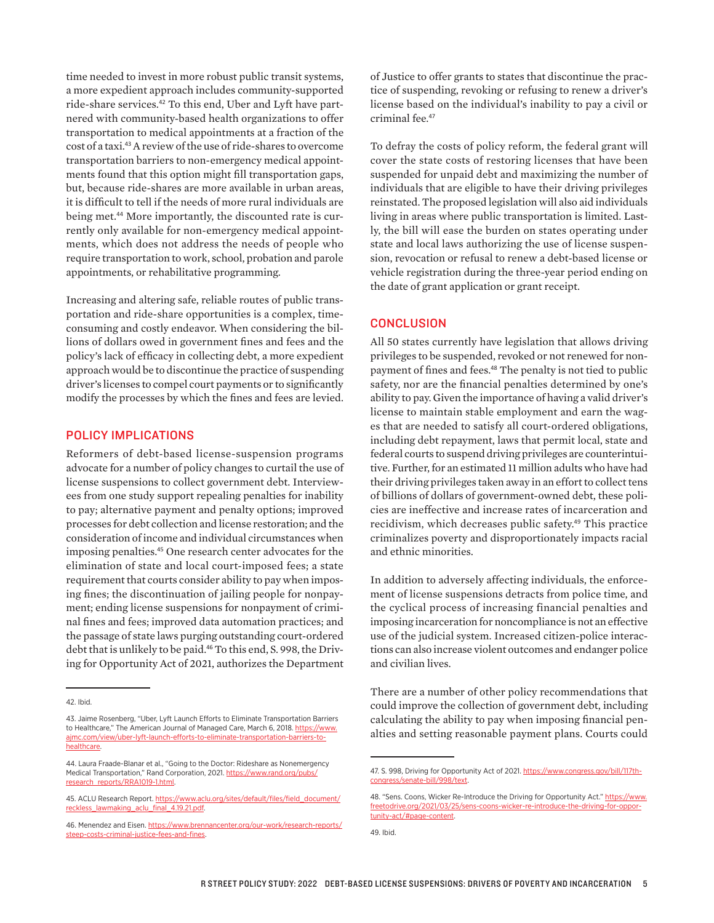time needed to invest in more robust public transit systems, a more expedient approach includes community-supported ride-share services.<sup>42</sup> To this end, Uber and Lyft have partnered with community-based health organizations to offer transportation to medical appointments at a fraction of the cost of a taxi.<sup>43</sup> A review of the use of ride-shares to overcome transportation barriers to non-emergency medical appointments found that this option might fill transportation gaps, but, because ride-shares are more available in urban areas, it is difficult to tell if the needs of more rural individuals are being met.<sup>44</sup> More importantly, the discounted rate is currently only available for non-emergency medical appointments, which does not address the needs of people who require transportation to work, school, probation and parole appointments, or rehabilitative programming.

Increasing and altering safe, reliable routes of public transportation and ride-share opportunities is a complex, timeconsuming and costly endeavor. When considering the billions of dollars owed in government fines and fees and the policy's lack of efficacy in collecting debt, a more expedient approach would be to discontinue the practice of suspending driver's licenses to compel court payments or to significantly modify the processes by which the fines and fees are levied.

### POLICY IMPLICATIONS

Reformers of debt-based license-suspension programs advocate for a number of policy changes to curtail the use of license suspensions to collect government debt. Interviewees from one study support repealing penalties for inability to pay; alternative payment and penalty options; improved processes for debt collection and license restoration; and the consideration of income and individual circumstances when imposing penalties.<sup>45</sup> One research center advocates for the elimination of state and local court-imposed fees; a state requirement that courts consider ability to pay when imposing fines; the discontinuation of jailing people for nonpayment; ending license suspensions for nonpayment of criminal fines and fees; improved data automation practices; and the passage of state laws purging outstanding court-ordered debt that is unlikely to be paid.<sup>46</sup> To this end, S. 998, the Driving for Opportunity Act of 2021, authorizes the Department of Justice to offer grants to states that discontinue the practice of suspending, revoking or refusing to renew a driver's license based on the individual's inability to pay a civil or criminal fee.<sup>47</sup>

To defray the costs of policy reform, the federal grant will cover the state costs of restoring licenses that have been suspended for unpaid debt and maximizing the number of individuals that are eligible to have their driving privileges reinstated. The proposed legislation will also aid individuals living in areas where public transportation is limited. Lastly, the bill will ease the burden on states operating under state and local laws authorizing the use of license suspension, revocation or refusal to renew a debt-based license or vehicle registration during the three-year period ending on the date of grant application or grant receipt.

#### **CONCLUSION**

All 50 states currently have legislation that allows driving privileges to be suspended, revoked or not renewed for nonpayment of fines and fees.<sup>48</sup> The penalty is not tied to public safety, nor are the financial penalties determined by one's ability to pay. Given the importance of having a valid driver's license to maintain stable employment and earn the wages that are needed to satisfy all court-ordered obligations, including debt repayment, laws that permit local, state and federal courts to suspend driving privileges are counterintuitive. Further, for an estimated 11 million adults who have had their driving privileges taken away in an effort to collect tens of billions of dollars of government-owned debt, these policies are ineffective and increase rates of incarceration and recidivism, which decreases public safety.<sup>49</sup> This practice criminalizes poverty and disproportionately impacts racial and ethnic minorities.

In addition to adversely affecting individuals, the enforcement of license suspensions detracts from police time, and the cyclical process of increasing financial penalties and imposing incarceration for noncompliance is not an effective use of the judicial system. Increased citizen-police interactions can also increase violent outcomes and endanger police and civilian lives.

There are a number of other policy recommendations that could improve the collection of government debt, including calculating the ability to pay when imposing financial penalties and setting reasonable payment plans. Courts could

<sup>42.</sup> Ibid.

<sup>43.</sup> Jaime Rosenberg, "Uber, Lyft Launch Efforts to Eliminate Transportation Barriers to Healthcare," The American Journal of Managed Care, March 6, 2018. [https://www.](https://www.ajmc.com/view/uber-lyft-launch-efforts-to-eliminate-transportation-barriers-to-healthcare) [ajmc.com/view/uber-lyft-launch-efforts-to-eliminate-transportation-barriers-to](https://www.ajmc.com/view/uber-lyft-launch-efforts-to-eliminate-transportation-barriers-to-healthcare)[healthcare.](https://www.ajmc.com/view/uber-lyft-launch-efforts-to-eliminate-transportation-barriers-to-healthcare)

<sup>44.</sup> Laura Fraade-Blanar et al., "Going to the Doctor: Rideshare as Nonemergency Medical Transportation," Rand Corporation, 2021. [https://www.rand.org/pubs/](https://www.rand.org/pubs/research_reports/RRA1019-1.html) [research\\_reports/RRA1019-1.html](https://www.rand.org/pubs/research_reports/RRA1019-1.html).

<sup>45.</sup> ACLU Research Report. [https://www.aclu.org/sites/default/files/field\\_document/](https://www.aclu.org/sites/default/files/field_document/reckless_lawmaking_aclu_final_4.19.21.pdf) [reckless\\_lawmaking\\_aclu\\_final\\_4.19.21.pdf.](https://www.aclu.org/sites/default/files/field_document/reckless_lawmaking_aclu_final_4.19.21.pdf)

<sup>46.</sup> Menendez and Eisen. [https://www.brennancenter.org/our-work/research-reports/](https://www.brennancenter.org/our-work/research-reports/steep-costs-criminal-justice-fees-and-fines) [steep-costs-criminal-justice-fees-and-fines.](https://www.brennancenter.org/our-work/research-reports/steep-costs-criminal-justice-fees-and-fines)

<sup>47.</sup> S. 998, Driving for Opportunity Act of 2021. [https://www.congress.gov/bill/117th](https://www.congress.gov/bill/117th-congress/senate-bill/998/text)[congress/senate-bill/998/text.](https://www.congress.gov/bill/117th-congress/senate-bill/998/text)

<sup>48. &</sup>quot;Sens. Coons, Wicker Re-Introduce the Driving for Opportunity Act." https://www. freetodrive.org/2021/03/25/sens-coons-wicker-re-introduce-the-driving-for-opportunity-act/#page-content.

<sup>49.</sup> Ibid.